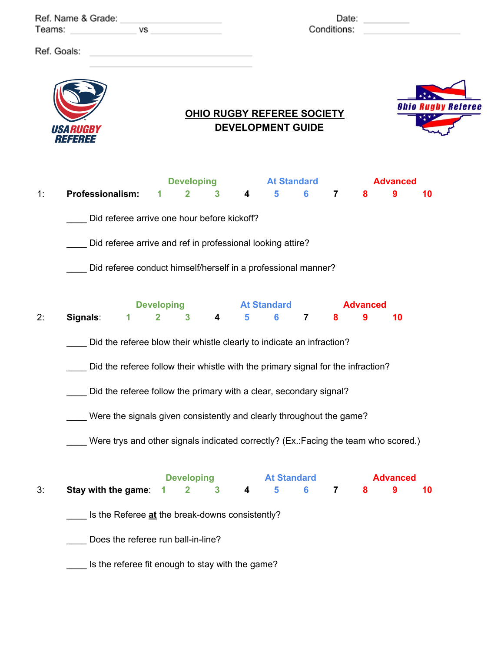| Ref. Name & Grade: Name of School and School and School and School and School and School and School and School<br>Teams:<br>VS |                                       |                                                                                                                                                                                                                                                                                                         |  |                                     | Date: $\qquad \qquad$<br>Conditions: |                                     |                         |                                                               |                |                |                      |                      |    |                           |
|--------------------------------------------------------------------------------------------------------------------------------|---------------------------------------|---------------------------------------------------------------------------------------------------------------------------------------------------------------------------------------------------------------------------------------------------------------------------------------------------------|--|-------------------------------------|--------------------------------------|-------------------------------------|-------------------------|---------------------------------------------------------------|----------------|----------------|----------------------|----------------------|----|---------------------------|
| Ref. Goals:                                                                                                                    |                                       | <u> 1980 - Johann Barbara, martxa alemaniar arg</u>                                                                                                                                                                                                                                                     |  |                                     |                                      |                                     |                         | <b>OHIO RUGBY REFEREE SOCIETY</b><br><b>DEVELOPMENT GUIDE</b> |                |                |                      |                      |    | <b>Ohio Rugby Referee</b> |
|                                                                                                                                | <i><b>USA RUGBY</b></i><br> ; 333; 33 |                                                                                                                                                                                                                                                                                                         |  |                                     |                                      |                                     |                         |                                                               |                |                |                      |                      |    |                           |
| 1:                                                                                                                             |                                       | <b>Professionalism:</b>                                                                                                                                                                                                                                                                                 |  | 1                                   | $\overline{\mathbf{2}}$              | <b>Developing</b><br>3 <sup>1</sup> | $\overline{\mathbf{4}}$ | <b>At Standard</b><br>$5^{\circ}$                             | $6 -$          |                | 7<br>8               | <b>Advanced</b><br>9 | 10 |                           |
| 2:                                                                                                                             | Signals:                              | Did referee arrive one hour before kickoff?<br>Did referee arrive and ref in professional looking attire?<br>Did referee conduct himself/herself in a professional manner?<br>$\mathbf 1$                                                                                                               |  | <b>Developing</b><br>$\overline{2}$ | $\mathbf{3}$                         | 4                                   | $5\phantom{.0}$         | <b>At Standard</b><br>6                                       | $\overline{7}$ | 8              | <b>Advanced</b><br>9 | 10                   |    |                           |
|                                                                                                                                |                                       | Did the referee blow their whistle clearly to indicate an infraction?<br>Did the referee follow their whistle with the primary signal for the infraction?<br>Did the referee follow the primary with a clear, secondary signal?<br>Were the signals given consistently and clearly throughout the game? |  |                                     |                                      |                                     |                         |                                                               |                |                |                      |                      |    |                           |
|                                                                                                                                |                                       | Were trys and other signals indicated correctly? (Ex.:Facing the team who scored.)                                                                                                                                                                                                                      |  |                                     |                                      |                                     |                         |                                                               |                |                |                      |                      |    |                           |
| 3:                                                                                                                             |                                       | Stay with the game:<br>Is the Referee at the break-downs consistently?<br>Does the referee run ball-in-line?<br>Is the referee fit enough to stay with the game?                                                                                                                                        |  |                                     | <b>Developing</b><br>2               | 3                                   | 4                       | <b>At Standard</b><br>5                                       | 6              | $\overline{7}$ | 8                    | <b>Advanced</b><br>9 | 10 |                           |
|                                                                                                                                |                                       |                                                                                                                                                                                                                                                                                                         |  |                                     |                                      |                                     |                         |                                                               |                |                |                      |                      |    |                           |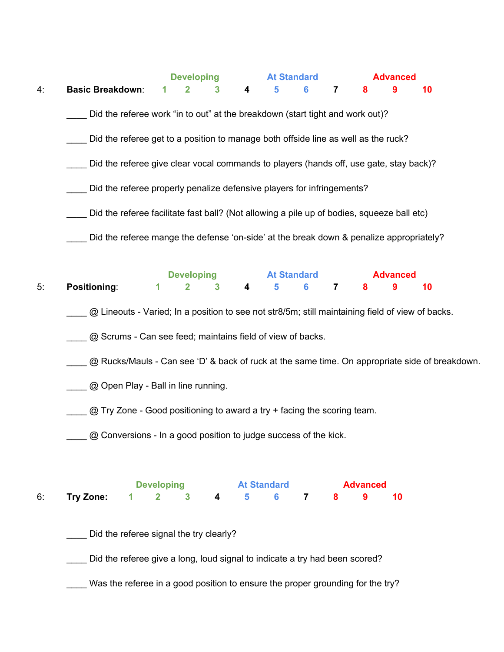|    |                                                                                                  |   | <b>Developing</b> |              |   | <b>At Standard</b> |   |                |   | <b>Advanced</b> |    |  |  |
|----|--------------------------------------------------------------------------------------------------|---|-------------------|--------------|---|--------------------|---|----------------|---|-----------------|----|--|--|
| 4. | <b>Basic Breakdown:</b>                                                                          | 1 | $\mathbf{2}$      | $\mathbf{3}$ | 4 | 5                  | 6 | $\overline{7}$ | 8 | 9               | 10 |  |  |
|    | Did the referee work "in to out" at the breakdown (start tight and work out)?                    |   |                   |              |   |                    |   |                |   |                 |    |  |  |
|    | Did the referee get to a position to manage both offside line as well as the ruck?               |   |                   |              |   |                    |   |                |   |                 |    |  |  |
|    | Did the referee give clear vocal commands to players (hands off, use gate, stay back)?           |   |                   |              |   |                    |   |                |   |                 |    |  |  |
|    | Did the referee properly penalize defensive players for infringements?                           |   |                   |              |   |                    |   |                |   |                 |    |  |  |
|    | Did the referee facilitate fast ball? (Not allowing a pile up of bodies, squeeze ball etc)       |   |                   |              |   |                    |   |                |   |                 |    |  |  |
|    | Did the referee mange the defense 'on-side' at the break down & penalize appropriately?          |   |                   |              |   |                    |   |                |   |                 |    |  |  |
|    |                                                                                                  |   | <b>Developing</b> |              |   | <b>At Standard</b> |   |                |   | <b>Advanced</b> |    |  |  |
| 5. | Positioning:                                                                                     | 1 | $\mathbf{2}$      | 3            | 4 | 5                  | 6 | $\overline{7}$ | 8 | 9               | 10 |  |  |
|    | @ Lineouts - Varied; In a position to see not str8/5m; still maintaining field of view of backs. |   |                   |              |   |                    |   |                |   |                 |    |  |  |

**2. @ Scrums - Can see feed; maintains field of view of backs.** 

Q Rucks/Mauls - Can see 'D' & back of ruck at the same time. On appropriate side of breakdown.

**2. Example 20 Open Play - Ball in line running.** 

\_\_\_\_ @ Try Zone - Good positioning to award a try + facing the scoring team.

@ Conversions - In a good position to judge success of the kick.

|                                   | <b>At Standard</b><br><b>Developing</b> |  |  |  |  | <b>Advanced</b> |  |  |  |
|-----------------------------------|-----------------------------------------|--|--|--|--|-----------------|--|--|--|
| 6: Try Zone: 1 2 3 4 5 6 7 8 9 10 |                                         |  |  |  |  |                 |  |  |  |

\_\_\_\_ Did the referee signal the try clearly?

\_\_\_\_ Did the referee give a long, loud signal to indicate a try had been scored?

\_\_\_\_ Was the referee in a good position to ensure the proper grounding for the try?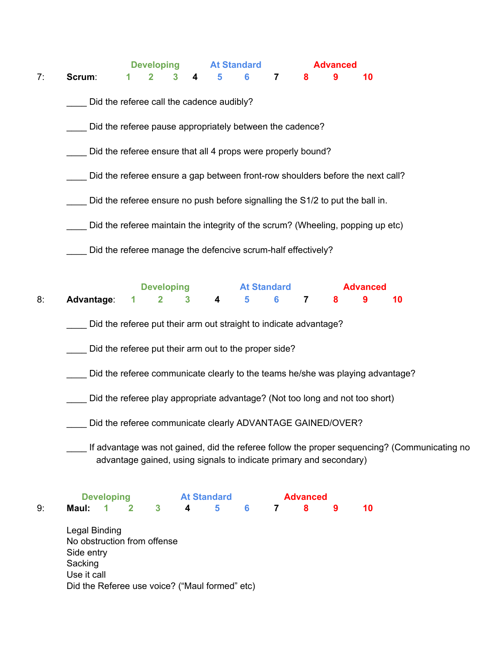| Scrum:                               | 1            | 2<br>Did the referee call the cadence audibly?<br>Did the referee pause appropriately between the cadence?<br>Did the referee ensure that all 4 props were properly bound? | 4 | 5                                                | 6                  | $\overline{\mathbf{7}}$                        | 8                                                                           | 9               | 10                                                                                                                                |                                                                                                                                                                                                                                      |                                                                                                                                                                                                                                                                                                                                                   |
|--------------------------------------|--------------|----------------------------------------------------------------------------------------------------------------------------------------------------------------------------|---|--------------------------------------------------|--------------------|------------------------------------------------|-----------------------------------------------------------------------------|-----------------|-----------------------------------------------------------------------------------------------------------------------------------|--------------------------------------------------------------------------------------------------------------------------------------------------------------------------------------------------------------------------------------|---------------------------------------------------------------------------------------------------------------------------------------------------------------------------------------------------------------------------------------------------------------------------------------------------------------------------------------------------|
|                                      |              |                                                                                                                                                                            |   |                                                  |                    |                                                |                                                                             |                 |                                                                                                                                   |                                                                                                                                                                                                                                      |                                                                                                                                                                                                                                                                                                                                                   |
|                                      |              |                                                                                                                                                                            |   |                                                  |                    |                                                |                                                                             |                 |                                                                                                                                   |                                                                                                                                                                                                                                      |                                                                                                                                                                                                                                                                                                                                                   |
|                                      |              |                                                                                                                                                                            |   |                                                  |                    |                                                |                                                                             |                 |                                                                                                                                   |                                                                                                                                                                                                                                      |                                                                                                                                                                                                                                                                                                                                                   |
|                                      |              |                                                                                                                                                                            |   |                                                  |                    |                                                |                                                                             |                 |                                                                                                                                   |                                                                                                                                                                                                                                      |                                                                                                                                                                                                                                                                                                                                                   |
|                                      |              | Did the referee ensure a gap between front-row shoulders before the next call?                                                                                             |   |                                                  |                    |                                                |                                                                             |                 |                                                                                                                                   |                                                                                                                                                                                                                                      |                                                                                                                                                                                                                                                                                                                                                   |
|                                      |              |                                                                                                                                                                            |   |                                                  |                    |                                                |                                                                             |                 |                                                                                                                                   |                                                                                                                                                                                                                                      |                                                                                                                                                                                                                                                                                                                                                   |
|                                      |              |                                                                                                                                                                            |   |                                                  |                    |                                                |                                                                             |                 |                                                                                                                                   |                                                                                                                                                                                                                                      |                                                                                                                                                                                                                                                                                                                                                   |
|                                      |              |                                                                                                                                                                            |   |                                                  |                    |                                                |                                                                             |                 |                                                                                                                                   |                                                                                                                                                                                                                                      |                                                                                                                                                                                                                                                                                                                                                   |
|                                      |              |                                                                                                                                                                            |   |                                                  |                    |                                                |                                                                             |                 |                                                                                                                                   |                                                                                                                                                                                                                                      |                                                                                                                                                                                                                                                                                                                                                   |
| Advantage:                           | 1            | $\mathbf{2}$                                                                                                                                                               | 3 | 4                                                | 5                  | 6                                              | $\overline{\mathbf{7}}$                                                     | 8               | 9                                                                                                                                 | 10                                                                                                                                                                                                                                   |                                                                                                                                                                                                                                                                                                                                                   |
|                                      |              |                                                                                                                                                                            |   |                                                  |                    |                                                |                                                                             |                 |                                                                                                                                   |                                                                                                                                                                                                                                      |                                                                                                                                                                                                                                                                                                                                                   |
|                                      |              |                                                                                                                                                                            |   |                                                  |                    |                                                |                                                                             |                 |                                                                                                                                   |                                                                                                                                                                                                                                      |                                                                                                                                                                                                                                                                                                                                                   |
|                                      |              |                                                                                                                                                                            |   |                                                  |                    |                                                |                                                                             |                 |                                                                                                                                   |                                                                                                                                                                                                                                      |                                                                                                                                                                                                                                                                                                                                                   |
|                                      |              |                                                                                                                                                                            |   |                                                  |                    |                                                |                                                                             |                 |                                                                                                                                   |                                                                                                                                                                                                                                      |                                                                                                                                                                                                                                                                                                                                                   |
|                                      |              |                                                                                                                                                                            |   |                                                  |                    |                                                |                                                                             |                 |                                                                                                                                   |                                                                                                                                                                                                                                      |                                                                                                                                                                                                                                                                                                                                                   |
|                                      |              |                                                                                                                                                                            |   |                                                  |                    |                                                |                                                                             |                 |                                                                                                                                   |                                                                                                                                                                                                                                      |                                                                                                                                                                                                                                                                                                                                                   |
| Maul:<br>1                           | $\mathbf{2}$ | $\overline{\mathbf{3}}$                                                                                                                                                    | 4 | 5                                                | 6                  | $\overline{7}$                                 | 8                                                                           | 9               | 10                                                                                                                                |                                                                                                                                                                                                                                      |                                                                                                                                                                                                                                                                                                                                                   |
| Side entry<br>Sacking<br>Use it call |              |                                                                                                                                                                            |   |                                                  |                    |                                                |                                                                             |                 |                                                                                                                                   |                                                                                                                                                                                                                                      |                                                                                                                                                                                                                                                                                                                                                   |
|                                      |              | <b>Developing</b><br><b>Legal Binding</b>                                                                                                                                  |   | <b>Developing</b><br>No obstruction from offense | <b>At Standard</b> | Did the Referee use voice? ("Maul formed" etc) | <b>At Standard</b><br>Did the referee put their arm out to the proper side? | <b>Advanced</b> | Did the referee manage the defencive scrum-half effectively?<br>Did the referee put their arm out straight to indicate advantage? | Did the referee ensure no push before signalling the S1/2 to put the ball in.<br><b>Advanced</b><br>Did the referee communicate clearly ADVANTAGE GAINED/OVER?<br>advantage gained, using signals to indicate primary and secondary) | Did the referee maintain the integrity of the scrum? (Wheeling, popping up etc)<br>Did the referee communicate clearly to the teams he/she was playing advantage?<br>Did the referee play appropriate advantage? (Not too long and not too short)<br>If advantage was not gained, did the referee follow the proper sequencing? (Communicating no |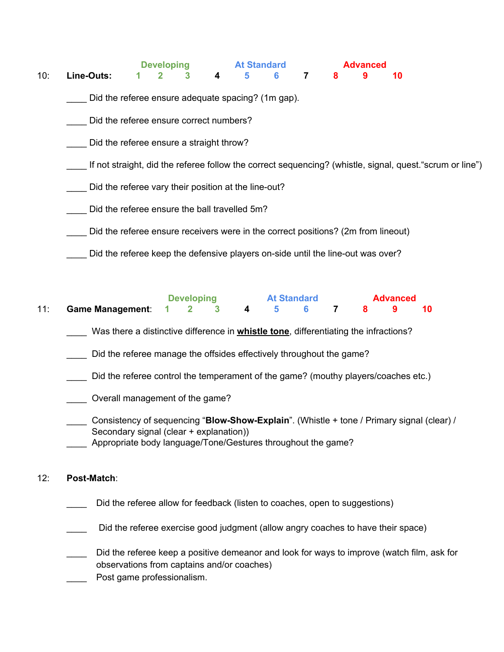**Developing At Standard Advanced**<br> **Advanced**<br> **Advanced**<br> **Advanced**<br> **Advanced**<br> **Advanced** 10: **Line-Outs: 1 2 3 4 5 6 7 8 9 10**

Did the referee ensure adequate spacing? (1m gap).

Did the referee ensure correct numbers?

Did the referee ensure a straight throw?

\_\_\_\_ If not straight, did the referee follow the correct sequencing? (whistle, signal, quest."scrum or line")

Did the referee vary their position at the line-out?

Did the referee ensure the ball travelled 5m?

Did the referee ensure receivers were in the correct positions? (2m from lineout)

\_\_\_\_ Did the referee keep the defensive players on-side until the line-out was over?

|                                           | <b>Developing</b> |  |  | <b>At Standard</b> |  |  |  | Advanced |  |  |
|-------------------------------------------|-------------------|--|--|--------------------|--|--|--|----------|--|--|
| 11: Game Management: 1 2 3 4 5 6 7 8 9 10 |                   |  |  |                    |  |  |  |          |  |  |

\_\_\_\_ Was there a distinctive difference in **whistle tone**, differentiating the infractions?

Did the referee manage the offsides effectively throughout the game?

- \_\_\_\_ Did the referee control the temperament of the game? (mouthy players/coaches etc.)
- \_\_\_\_ Overall management of the game?

Consistency of sequencing "**Blow-Show-Explain**". (Whistle + tone / Primary signal (clear) / Secondary signal (clear + explanation))

Appropriate body language/Tone/Gestures throughout the game?

## 12: **Post-Match**:

- Did the referee allow for feedback (listen to coaches, open to suggestions)
- Did the referee exercise good judgment (allow angry coaches to have their space)
- Did the referee keep a positive demeanor and look for ways to improve (watch film, ask for observations from captains and/or coaches) Post game professionalism.